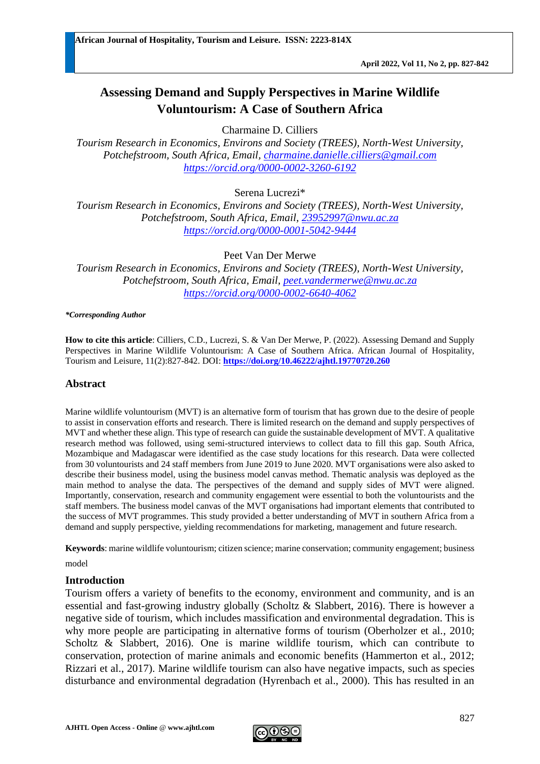# **Assessing Demand and Supply Perspectives in Marine Wildlife Voluntourism: A Case of Southern Africa**

Charmaine D. Cilliers

*Tourism Research in Economics, Environs and Society (TREES), North-West University, Potchefstroom, South Africa, Email, [charmaine.danielle.cilliers@gmail.com](mailto:charmaine.danielle.cilliers@gmail.com) <https://orcid.org/0000-0002-3260-6192>*

Serena Lucrezi\*

*Tourism Research in Economics, Environs and Society (TREES), North-West University, Potchefstroom, South Africa, Email, [23952997@nwu.ac.za](mailto:23952997@nwu.ac.za) <https://orcid.org/0000-0001-5042-9444>*

Peet Van Der Merwe

*Tourism Research in Economics, Environs and Society (TREES), North-West University, Potchefstroom, South Africa, Email, [peet.vandermerwe@nwu.ac.za](mailto:peet.vandermerwe@nwu.ac.za) <https://orcid.org/0000-0002-6640-4062>*

#### *\*Corresponding Author*

**How to cite this article**: Cilliers, C.D., Lucrezi, S. & Van Der Merwe, P. (2022). Assessing Demand and Supply Perspectives in Marine Wildlife Voluntourism: A Case of Southern Africa. African Journal of Hospitality, Tourism and Leisure, 11(2):827-842. DOI: **<https://doi.org/10.46222/ajhtl.19770720.260>**

#### **Abstract**

Marine wildlife voluntourism (MVT) is an alternative form of tourism that has grown due to the desire of people to assist in conservation efforts and research. There is limited research on the demand and supply perspectives of MVT and whether these align. This type of research can guide the sustainable development of MVT. A qualitative research method was followed, using semi-structured interviews to collect data to fill this gap. South Africa, Mozambique and Madagascar were identified as the case study locations for this research. Data were collected from 30 voluntourists and 24 staff members from June 2019 to June 2020. MVT organisations were also asked to describe their business model, using the business model canvas method. Thematic analysis was deployed as the main method to analyse the data. The perspectives of the demand and supply sides of MVT were aligned. Importantly, conservation, research and community engagement were essential to both the voluntourists and the staff members. The business model canvas of the MVT organisations had important elements that contributed to the success of MVT programmes. This study provided a better understanding of MVT in southern Africa from a demand and supply perspective, yielding recommendations for marketing, management and future research.

**Keywords**: marine wildlife voluntourism; citizen science; marine conservation; community engagement; business

model

#### **Introduction**

Tourism offers a variety of benefits to the economy, environment and community, and is an essential and fast-growing industry globally (Scholtz & Slabbert, 2016). There is however a negative side of tourism, which includes massification and environmental degradation. This is why more people are participating in alternative forms of tourism (Oberholzer et al., 2010; Scholtz & Slabbert, 2016). One is marine wildlife tourism, which can contribute to conservation, protection of marine animals and economic benefits (Hammerton et al., 2012; Rizzari et al., 2017). Marine wildlife tourism can also have negative impacts, such as species disturbance and environmental degradation (Hyrenbach et al., 2000). This has resulted in an

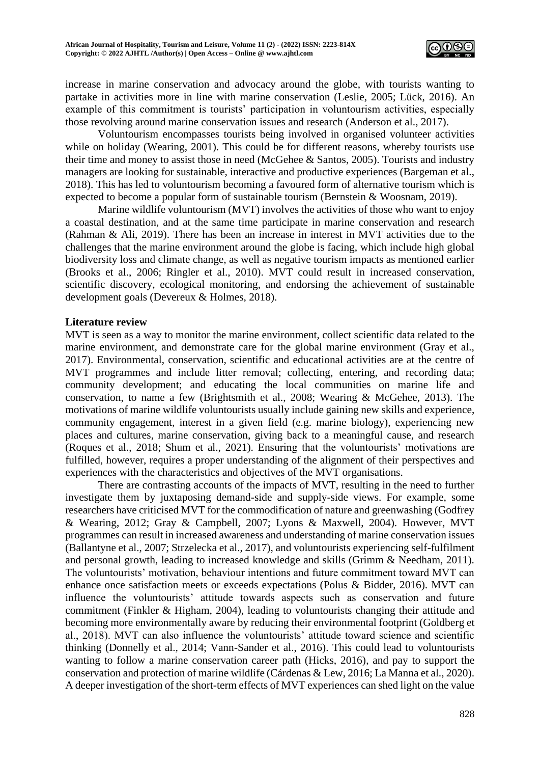

increase in marine conservation and advocacy around the globe, with tourists wanting to partake in activities more in line with marine conservation (Leslie, 2005; Lück, 2016). An example of this commitment is tourists' participation in voluntourism activities, especially those revolving around marine conservation issues and research (Anderson et al., 2017).

Voluntourism encompasses tourists being involved in organised volunteer activities while on holiday (Wearing, 2001). This could be for different reasons, whereby tourists use their time and money to assist those in need (McGehee & Santos, 2005). Tourists and industry managers are looking for sustainable, interactive and productive experiences (Bargeman et al., 2018). This has led to voluntourism becoming a favoured form of alternative tourism which is expected to become a popular form of sustainable tourism (Bernstein & Woosnam, 2019).

Marine wildlife voluntourism (MVT) involves the activities of those who want to enjoy a coastal destination, and at the same time participate in marine conservation and research (Rahman & Ali, 2019). There has been an increase in interest in MVT activities due to the challenges that the marine environment around the globe is facing, which include high global biodiversity loss and climate change, as well as negative tourism impacts as mentioned earlier (Brooks et al., 2006; Ringler et al., 2010). MVT could result in increased conservation, scientific discovery, ecological monitoring, and endorsing the achievement of sustainable development goals (Devereux & Holmes, 2018).

### **Literature review**

MVT is seen as a way to monitor the marine environment, collect scientific data related to the marine environment, and demonstrate care for the global marine environment (Gray et al., 2017). Environmental, conservation, scientific and educational activities are at the centre of MVT programmes and include litter removal; collecting, entering, and recording data; community development; and educating the local communities on marine life and conservation, to name a few (Brightsmith et al., 2008; Wearing & McGehee, 2013). The motivations of marine wildlife voluntourists usually include gaining new skills and experience, community engagement, interest in a given field (e.g. marine biology), experiencing new places and cultures, marine conservation, giving back to a meaningful cause, and research (Roques et al., 2018; Shum et al., 2021). Ensuring that the voluntourists' motivations are fulfilled, however, requires a proper understanding of the alignment of their perspectives and experiences with the characteristics and objectives of the MVT organisations.

There are contrasting accounts of the impacts of MVT, resulting in the need to further investigate them by juxtaposing demand-side and supply-side views. For example, some researchers have criticised MVT for the commodification of nature and greenwashing (Godfrey & Wearing, 2012; Gray & Campbell, 2007; Lyons & Maxwell, 2004). However, MVT programmes can result in increased awareness and understanding of marine conservation issues (Ballantyne et al., 2007; Strzelecka et al., 2017), and voluntourists experiencing self-fulfilment and personal growth, leading to increased knowledge and skills (Grimm & Needham, 2011). The voluntourists' motivation, behaviour intentions and future commitment toward MVT can enhance once satisfaction meets or exceeds expectations (Polus & Bidder, 2016). MVT can influence the voluntourists' attitude towards aspects such as conservation and future commitment (Finkler & Higham, 2004), leading to voluntourists changing their attitude and becoming more environmentally aware by reducing their environmental footprint (Goldberg et al., 2018). MVT can also influence the voluntourists' attitude toward science and scientific thinking (Donnelly et al., 2014; Vann-Sander et al., 2016). This could lead to voluntourists wanting to follow a marine conservation career path (Hicks, 2016), and pay to support the conservation and protection of marine wildlife (Cárdenas & Lew, 2016; La Manna et al., 2020). A deeper investigation of the short-term effects of MVT experiences can shed light on the value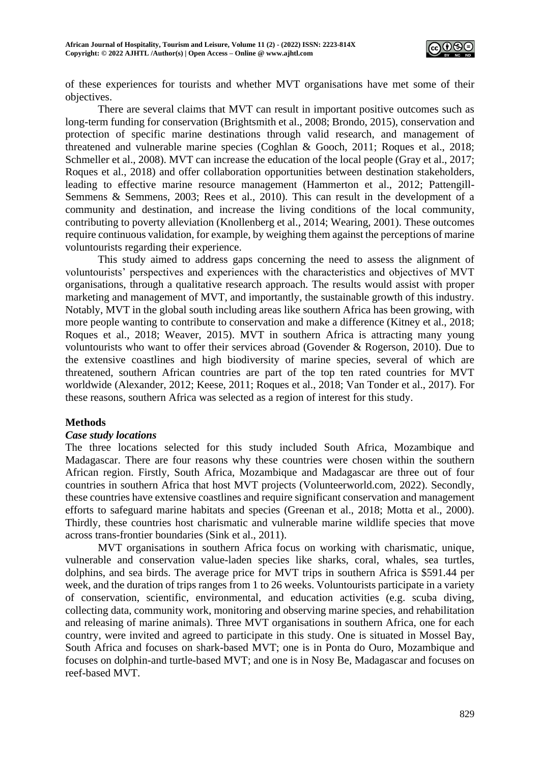

of these experiences for tourists and whether MVT organisations have met some of their objectives.

There are several claims that MVT can result in important positive outcomes such as long-term funding for conservation (Brightsmith et al., 2008; Brondo, 2015), conservation and protection of specific marine destinations through valid research, and management of threatened and vulnerable marine species (Coghlan & Gooch, 2011; Roques et al., 2018; Schmeller et al., 2008). MVT can increase the education of the local people (Gray et al., 2017; Roques et al., 2018) and offer collaboration opportunities between destination stakeholders, leading to effective marine resource management (Hammerton et al., 2012; Pattengill-Semmens & Semmens, 2003; Rees et al., 2010). This can result in the development of a community and destination, and increase the living conditions of the local community, contributing to poverty alleviation (Knollenberg et al., 2014; Wearing, 2001). These outcomes require continuous validation, for example, by weighing them against the perceptions of marine voluntourists regarding their experience.

This study aimed to address gaps concerning the need to assess the alignment of voluntourists' perspectives and experiences with the characteristics and objectives of MVT organisations, through a qualitative research approach. The results would assist with proper marketing and management of MVT, and importantly, the sustainable growth of this industry. Notably, MVT in the global south including areas like southern Africa has been growing, with more people wanting to contribute to conservation and make a difference (Kitney et al., 2018; Roques et al., 2018; Weaver, 2015). MVT in southern Africa is attracting many young voluntourists who want to offer their services abroad (Govender & Rogerson, 2010). Due to the extensive coastlines and high biodiversity of marine species, several of which are threatened, southern African countries are part of the top ten rated countries for MVT worldwide (Alexander, 2012; Keese, 2011; Roques et al., 2018; Van Tonder et al., 2017). For these reasons, southern Africa was selected as a region of interest for this study.

#### **Methods**

#### *Case study locations*

The three locations selected for this study included South Africa, Mozambique and Madagascar. There are four reasons why these countries were chosen within the southern African region. Firstly, South Africa, Mozambique and Madagascar are three out of four countries in southern Africa that host MVT projects (Volunteerworld.com, 2022). Secondly, these countries have extensive coastlines and require significant conservation and management efforts to safeguard marine habitats and species (Greenan et al., 2018; Motta et al., 2000). Thirdly, these countries host charismatic and vulnerable marine wildlife species that move across trans-frontier boundaries (Sink et al., 2011).

MVT organisations in southern Africa focus on working with charismatic, unique, vulnerable and conservation value-laden species like sharks, coral, whales, sea turtles, dolphins, and sea birds. The average price for MVT trips in southern Africa is \$591.44 per week, and the duration of trips ranges from 1 to 26 weeks. Voluntourists participate in a variety of conservation, scientific, environmental, and education activities (e.g. scuba diving, collecting data, community work, monitoring and observing marine species, and rehabilitation and releasing of marine animals). Three MVT organisations in southern Africa, one for each country, were invited and agreed to participate in this study. One is situated in Mossel Bay, South Africa and focuses on shark-based MVT; one is in Ponta do Ouro, Mozambique and focuses on dolphin-and turtle-based MVT; and one is in Nosy Be, Madagascar and focuses on reef-based MVT.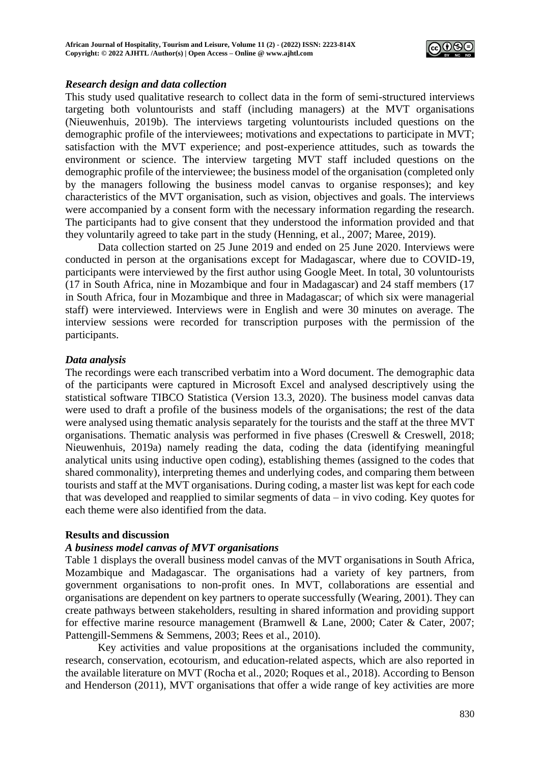

### *Research design and data collection*

This study used qualitative research to collect data in the form of semi-structured interviews targeting both voluntourists and staff (including managers) at the MVT organisations (Nieuwenhuis, 2019b). The interviews targeting voluntourists included questions on the demographic profile of the interviewees; motivations and expectations to participate in MVT; satisfaction with the MVT experience; and post-experience attitudes, such as towards the environment or science. The interview targeting MVT staff included questions on the demographic profile of the interviewee; the business model of the organisation (completed only by the managers following the business model canvas to organise responses); and key characteristics of the MVT organisation, such as vision, objectives and goals. The interviews were accompanied by a consent form with the necessary information regarding the research. The participants had to give consent that they understood the information provided and that they voluntarily agreed to take part in the study (Henning, et al., 2007; Maree, 2019).

Data collection started on 25 June 2019 and ended on 25 June 2020. Interviews were conducted in person at the organisations except for Madagascar, where due to COVID-19, participants were interviewed by the first author using Google Meet. In total, 30 voluntourists (17 in South Africa, nine in Mozambique and four in Madagascar) and 24 staff members (17 in South Africa, four in Mozambique and three in Madagascar; of which six were managerial staff) were interviewed. Interviews were in English and were 30 minutes on average. The interview sessions were recorded for transcription purposes with the permission of the participants.

### *Data analysis*

The recordings were each transcribed verbatim into a Word document. The demographic data of the participants were captured in Microsoft Excel and analysed descriptively using the statistical software TIBCO Statistica (Version 13.3, 2020). The business model canvas data were used to draft a profile of the business models of the organisations; the rest of the data were analysed using thematic analysis separately for the tourists and the staff at the three MVT organisations. Thematic analysis was performed in five phases (Creswell & Creswell, 2018; Nieuwenhuis, 2019a) namely reading the data, coding the data (identifying meaningful analytical units using inductive open coding), establishing themes (assigned to the codes that shared commonality), interpreting themes and underlying codes, and comparing them between tourists and staff at the MVT organisations. During coding, a master list was kept for each code that was developed and reapplied to similar segments of data – in vivo coding. Key quotes for each theme were also identified from the data.

## **Results and discussion**

## *A business model canvas of MVT organisations*

Table 1 displays the overall business model canvas of the MVT organisations in South Africa, Mozambique and Madagascar. The organisations had a variety of key partners, from government organisations to non-profit ones. In MVT, collaborations are essential and organisations are dependent on key partners to operate successfully (Wearing, 2001). They can create pathways between stakeholders, resulting in shared information and providing support for effective marine resource management (Bramwell & Lane, 2000; Cater & Cater, 2007; Pattengill-Semmens & Semmens, 2003; Rees et al., 2010).

Key activities and value propositions at the organisations included the community, research, conservation, ecotourism, and education-related aspects, which are also reported in the available literature on MVT (Rocha et al., 2020; Roques et al., 2018). According to Benson and Henderson (2011), MVT organisations that offer a wide range of key activities are more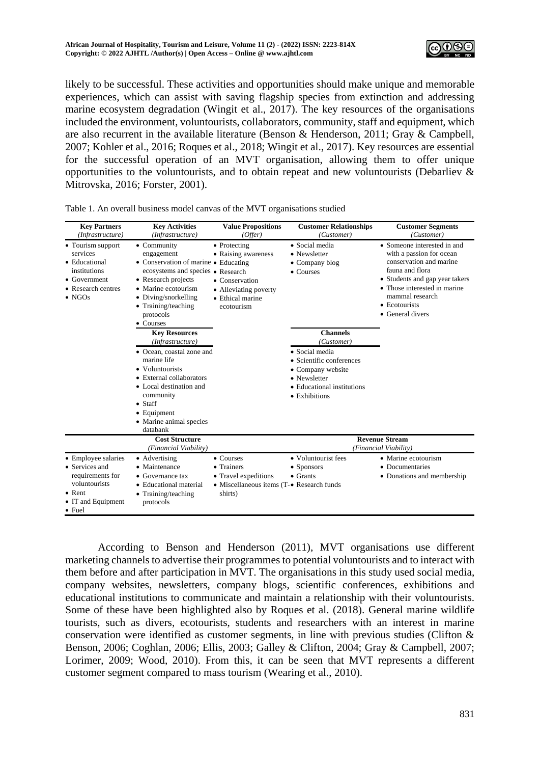

likely to be successful. These activities and opportunities should make unique and memorable experiences, which can assist with saving flagship species from extinction and addressing marine ecosystem degradation (Wingit et al., 2017). The key resources of the organisations included the environment, voluntourists, collaborators, community, staff and equipment, which are also recurrent in the available literature (Benson & Henderson, 2011; Gray & Campbell, 2007; Kohler et al., 2016; Roques et al., 2018; Wingit et al., 2017). Key resources are essential for the successful operation of an MVT organisation, allowing them to offer unique opportunities to the voluntourists, and to obtain repeat and new voluntourists (Debarliev & Mitrovska, 2016; Forster, 2001).

| <b>Key Partners</b>                                                                                                                                | <b>Key Activities</b>                                                                                                                                                                                                                                                                                                                                                                                                                                                                                             | <b>Value Propositions</b>                                                                                                   | <b>Customer Relationships</b>                                                                                                                                                                                                                  | <b>Customer Segments</b>                                                                                                                                                                                                                              |  |
|----------------------------------------------------------------------------------------------------------------------------------------------------|-------------------------------------------------------------------------------------------------------------------------------------------------------------------------------------------------------------------------------------------------------------------------------------------------------------------------------------------------------------------------------------------------------------------------------------------------------------------------------------------------------------------|-----------------------------------------------------------------------------------------------------------------------------|------------------------------------------------------------------------------------------------------------------------------------------------------------------------------------------------------------------------------------------------|-------------------------------------------------------------------------------------------------------------------------------------------------------------------------------------------------------------------------------------------------------|--|
| (Infrastructure)<br>• Tourism support<br>services<br>• Educational<br>institutions<br>$\bullet$ Government<br>• Research centres<br>$\bullet$ NGOs | (Infrastructure)<br>• Community<br>engagement<br>• Conservation of marine • Educating<br>ecosystems and species • Research<br>• Research projects<br>• Marine ecotourism<br>• Diving/snorkelling<br>• Training/teaching<br>protocols<br>• Courses<br><b>Key Resources</b><br>(Infrastructure)<br>• Ocean, coastal zone and<br>marine life<br>• Voluntourists<br>• External collaborators<br>• Local destination and<br>community<br>$\bullet$ Staff<br>$\bullet$ Equipment<br>• Marine animal species<br>databank | (Offer)<br>• Protecting<br>• Raising awareness<br>• Conservation<br>• Alleviating poverty<br>• Ethical marine<br>ecotourism | (Customer)<br>• Social media<br>• Newsletter<br>• Company blog<br>• Courses<br><b>Channels</b><br>(Customer)<br>• Social media<br>• Scientific conferences<br>• Company website<br>• Newsletter<br>• Educational institutions<br>• Exhibitions | (Customer)<br>• Someone interested in and<br>with a passion for ocean<br>conservation and marine<br>fauna and flora<br>• Students and gap year takers<br>• Those interested in marine<br>mammal research<br>$\bullet$ Ecotourists<br>• General divers |  |
|                                                                                                                                                    | <b>Cost Structure</b><br>(Financial Viability)                                                                                                                                                                                                                                                                                                                                                                                                                                                                    |                                                                                                                             |                                                                                                                                                                                                                                                | <b>Revenue Stream</b><br>(Financial Viability)                                                                                                                                                                                                        |  |
| • Employee salaries<br>• Services and<br>requirements for<br>voluntourists<br>$\bullet$ Rent<br>• IT and Equipment<br>$\bullet$ Fuel               | • Advertising<br>Maintenance<br>• Governance tax<br>• Educational material<br>• Training/teaching<br>protocols                                                                                                                                                                                                                                                                                                                                                                                                    | $\bullet$ Courses<br>• Trainers<br>• Travel expeditions<br>• Miscellaneous items (T-• Research funds<br>shirts)             | • Voluntourist fees<br>• Sponsors<br>$\bullet$ Grants                                                                                                                                                                                          | • Marine ecotourism<br>• Documentaries<br>• Donations and membership                                                                                                                                                                                  |  |

Table 1. An overall business model canvas of the MVT organisations studied

According to Benson and Henderson (2011), MVT organisations use different marketing channels to advertise their programmes to potential voluntourists and to interact with them before and after participation in MVT. The organisations in this study used social media, company websites, newsletters, company blogs, scientific conferences, exhibitions and educational institutions to communicate and maintain a relationship with their voluntourists. Some of these have been highlighted also by Roques et al. (2018). General marine wildlife tourists, such as divers, ecotourists, students and researchers with an interest in marine conservation were identified as customer segments, in line with previous studies (Clifton & Benson, 2006; Coghlan, 2006; Ellis, 2003; Galley & Clifton, 2004; Gray & Campbell, 2007; Lorimer, 2009; Wood, 2010). From this, it can be seen that MVT represents a different customer segment compared to mass tourism (Wearing et al., 2010).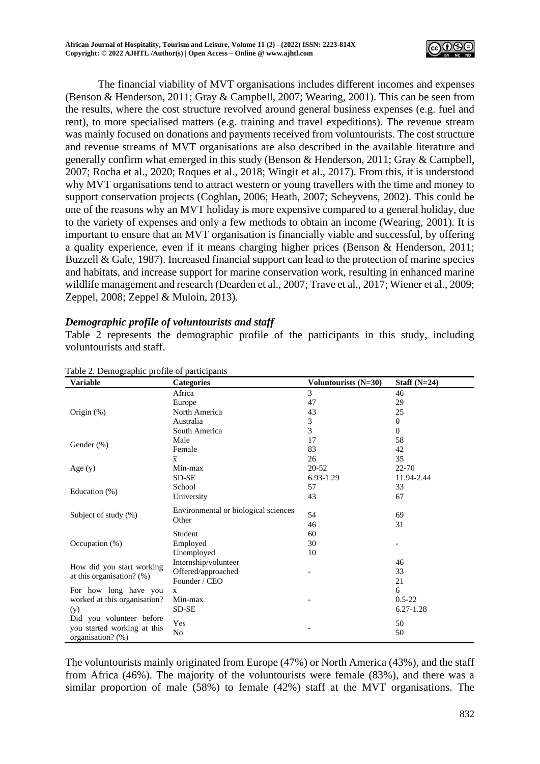

The financial viability of MVT organisations includes different incomes and expenses (Benson & Henderson, 2011; Gray & Campbell, 2007; Wearing, 2001). This can be seen from the results, where the cost structure revolved around general business expenses (e.g. fuel and rent), to more specialised matters (e.g. training and travel expeditions). The revenue stream was mainly focused on donations and payments received from voluntourists. The cost structure and revenue streams of MVT organisations are also described in the available literature and generally confirm what emerged in this study (Benson & Henderson, 2011; Gray & Campbell, 2007; Rocha et al., 2020; Roques et al., 2018; Wingit et al., 2017). From this, it is understood why MVT organisations tend to attract western or young travellers with the time and money to support conservation projects (Coghlan, 2006; Heath, 2007; Scheyvens, 2002). This could be one of the reasons why an MVT holiday is more expensive compared to a general holiday, due to the variety of expenses and only a few methods to obtain an income (Wearing, 2001). It is important to ensure that an MVT organisation is financially viable and successful, by offering a quality experience, even if it means charging higher prices (Benson & Henderson, 2011; Buzzell & Gale, 1987). Increased financial support can lead to the protection of marine species and habitats, and increase support for marine conservation work, resulting in enhanced marine wildlife management and research (Dearden et al., 2007; Trave et al., 2017; Wiener et al., 2009; Zeppel, 2008; Zeppel & Muloin, 2013).

## *Demographic profile of voluntourists and staff*

Table 2 represents the demographic profile of the participants in this study, including voluntourists and staff.

| ore 2. Demographie profile of participants<br><b>Variable</b> | <b>Categories</b>                    | Voluntourists $(N=30)$ | Staff $(N=24)$ |
|---------------------------------------------------------------|--------------------------------------|------------------------|----------------|
|                                                               | Africa                               | 3                      | 46             |
|                                                               | Europe                               | 47                     | 29             |
| Origin (%)                                                    | North America                        | 43                     | 25             |
|                                                               | Australia                            | 3                      | $\overline{0}$ |
|                                                               | South America                        | 3                      | $\overline{0}$ |
|                                                               | Male                                 | 17                     | 58             |
| Gender $(\%)$                                                 | Female                               | 83                     | 42             |
|                                                               | $\overline{\mathbf{x}}$              | 26                     | 35             |
| Age $(y)$                                                     | Min-max                              | $20 - 52$              | $22 - 70$      |
|                                                               | SD-SE                                | 6.93-1.29              | 11.94-2.44     |
|                                                               | School                               | 57                     | 33             |
| Education (%)                                                 | University                           | 43                     | 67             |
|                                                               | Environmental or biological sciences |                        |                |
| Subject of study (%)                                          | Other                                | 54                     | 69             |
|                                                               |                                      | 46                     | 31             |
|                                                               | Student                              | 60                     |                |
| Occupation $(\%)$                                             | Employed                             | 30                     |                |
|                                                               | Unemployed                           | 10                     |                |
| How did you start working                                     | Internship/volunteer                 |                        | 46             |
| at this organisation? (%)                                     | Offered/approached                   |                        | 33             |
|                                                               | Founder / CEO                        |                        | 21             |
| For how long have you                                         | $\overline{x}$                       |                        | 6              |
| worked at this organisation?                                  | Min-max                              |                        | $0.5 - 22$     |
| (y)                                                           | SD-SE                                |                        | $6.27 - 1.28$  |
| Did you volunteer before                                      | Yes                                  |                        | 50             |
| you started working at this                                   | No                                   |                        | 50             |
| organisation? (%)                                             |                                      |                        |                |

#### Table 2. Demographic profile of participants

The voluntourists mainly originated from Europe (47%) or North America (43%), and the staff from Africa (46%). The majority of the voluntourists were female (83%), and there was a similar proportion of male (58%) to female (42%) staff at the MVT organisations. The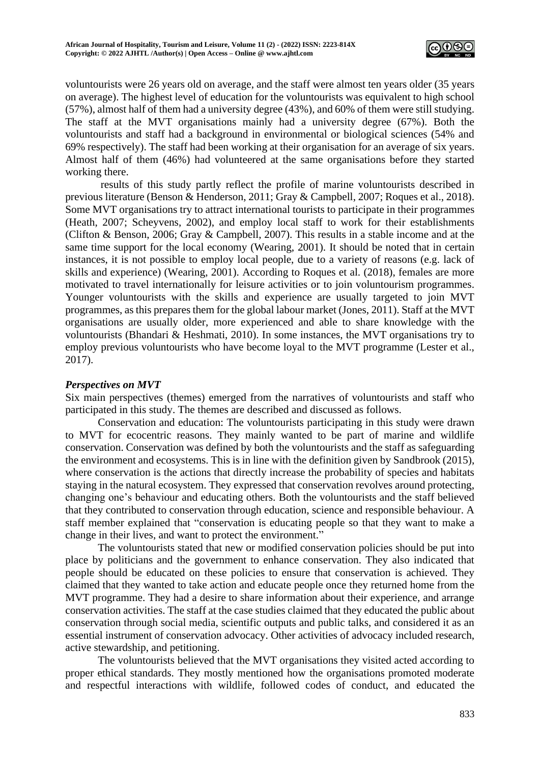

voluntourists were 26 years old on average, and the staff were almost ten years older (35 years on average). The highest level of education for the voluntourists was equivalent to high school (57%), almost half of them had a university degree (43%), and 60% of them were still studying. The staff at the MVT organisations mainly had a university degree (67%). Both the voluntourists and staff had a background in environmental or biological sciences (54% and 69% respectively). The staff had been working at their organisation for an average of six years. Almost half of them (46%) had volunteered at the same organisations before they started working there.

results of this study partly reflect the profile of marine voluntourists described in previous literature (Benson & Henderson, 2011; Gray & Campbell, 2007; Roques et al., 2018). Some MVT organisations try to attract international tourists to participate in their programmes (Heath, 2007; Scheyvens, 2002), and employ local staff to work for their establishments (Clifton & Benson, 2006; Gray & Campbell, 2007). This results in a stable income and at the same time support for the local economy (Wearing, 2001). It should be noted that in certain instances, it is not possible to employ local people, due to a variety of reasons (e.g. lack of skills and experience) (Wearing, 2001). According to Roques et al. (2018), females are more motivated to travel internationally for leisure activities or to join voluntourism programmes. Younger voluntourists with the skills and experience are usually targeted to join MVT programmes, as this prepares them for the global labour market (Jones, 2011). Staff at the MVT organisations are usually older, more experienced and able to share knowledge with the voluntourists (Bhandari & Heshmati, 2010). In some instances, the MVT organisations try to employ previous voluntourists who have become loyal to the MVT programme (Lester et al., 2017).

### *Perspectives on MVT*

Six main perspectives (themes) emerged from the narratives of voluntourists and staff who participated in this study. The themes are described and discussed as follows.

Conservation and education: The voluntourists participating in this study were drawn to MVT for ecocentric reasons. They mainly wanted to be part of marine and wildlife conservation. Conservation was defined by both the voluntourists and the staff as safeguarding the environment and ecosystems. This is in line with the definition given by Sandbrook (2015), where conservation is the actions that directly increase the probability of species and habitats staying in the natural ecosystem. They expressed that conservation revolves around protecting, changing one's behaviour and educating others. Both the voluntourists and the staff believed that they contributed to conservation through education, science and responsible behaviour. A staff member explained that "conservation is educating people so that they want to make a change in their lives, and want to protect the environment."

The voluntourists stated that new or modified conservation policies should be put into place by politicians and the government to enhance conservation. They also indicated that people should be educated on these policies to ensure that conservation is achieved. They claimed that they wanted to take action and educate people once they returned home from the MVT programme. They had a desire to share information about their experience, and arrange conservation activities. The staff at the case studies claimed that they educated the public about conservation through social media, scientific outputs and public talks, and considered it as an essential instrument of conservation advocacy. Other activities of advocacy included research, active stewardship, and petitioning.

The voluntourists believed that the MVT organisations they visited acted according to proper ethical standards. They mostly mentioned how the organisations promoted moderate and respectful interactions with wildlife, followed codes of conduct, and educated the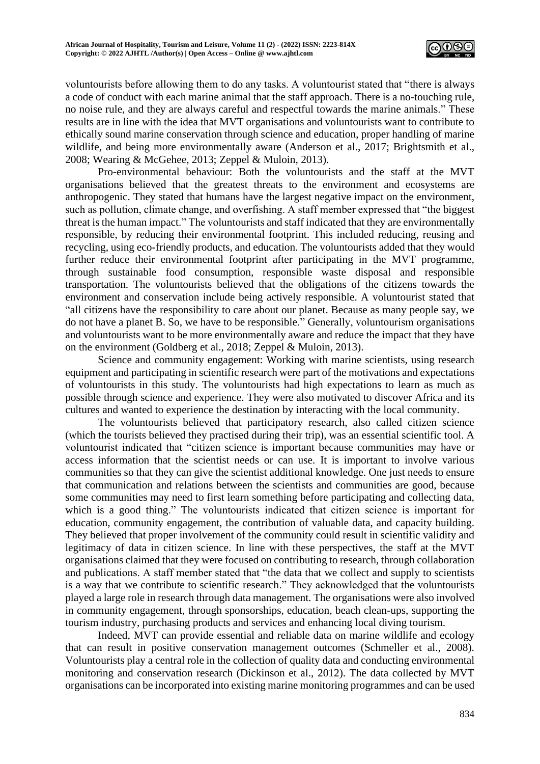

voluntourists before allowing them to do any tasks. A voluntourist stated that "there is always a code of conduct with each marine animal that the staff approach. There is a no-touching rule, no noise rule, and they are always careful and respectful towards the marine animals." These results are in line with the idea that MVT organisations and voluntourists want to contribute to ethically sound marine conservation through science and education, proper handling of marine wildlife, and being more environmentally aware (Anderson et al., 2017; Brightsmith et al., 2008; Wearing & McGehee, 2013; Zeppel & Muloin, 2013).

Pro-environmental behaviour: Both the voluntourists and the staff at the MVT organisations believed that the greatest threats to the environment and ecosystems are anthropogenic. They stated that humans have the largest negative impact on the environment, such as pollution, climate change, and overfishing. A staff member expressed that "the biggest threat is the human impact." The voluntourists and staff indicated that they are environmentally responsible, by reducing their environmental footprint. This included reducing, reusing and recycling, using eco-friendly products, and education. The voluntourists added that they would further reduce their environmental footprint after participating in the MVT programme, through sustainable food consumption, responsible waste disposal and responsible transportation. The voluntourists believed that the obligations of the citizens towards the environment and conservation include being actively responsible. A voluntourist stated that "all citizens have the responsibility to care about our planet. Because as many people say, we do not have a planet B. So, we have to be responsible." Generally, voluntourism organisations and voluntourists want to be more environmentally aware and reduce the impact that they have on the environment (Goldberg et al., 2018; Zeppel & Muloin, 2013).

Science and community engagement: Working with marine scientists, using research equipment and participating in scientific research were part of the motivations and expectations of voluntourists in this study. The voluntourists had high expectations to learn as much as possible through science and experience. They were also motivated to discover Africa and its cultures and wanted to experience the destination by interacting with the local community.

The voluntourists believed that participatory research, also called citizen science (which the tourists believed they practised during their trip), was an essential scientific tool. A voluntourist indicated that "citizen science is important because communities may have or access information that the scientist needs or can use. It is important to involve various communities so that they can give the scientist additional knowledge. One just needs to ensure that communication and relations between the scientists and communities are good, because some communities may need to first learn something before participating and collecting data, which is a good thing." The voluntourists indicated that citizen science is important for education, community engagement, the contribution of valuable data, and capacity building. They believed that proper involvement of the community could result in scientific validity and legitimacy of data in citizen science. In line with these perspectives, the staff at the MVT organisations claimed that they were focused on contributing to research, through collaboration and publications. A staff member stated that "the data that we collect and supply to scientists is a way that we contribute to scientific research." They acknowledged that the voluntourists played a large role in research through data management. The organisations were also involved in community engagement, through sponsorships, education, beach clean-ups, supporting the tourism industry, purchasing products and services and enhancing local diving tourism.

Indeed, MVT can provide essential and reliable data on marine wildlife and ecology that can result in positive conservation management outcomes (Schmeller et al., 2008). Voluntourists play a central role in the collection of quality data and conducting environmental monitoring and conservation research (Dickinson et al., 2012). The data collected by MVT organisations can be incorporated into existing marine monitoring programmes and can be used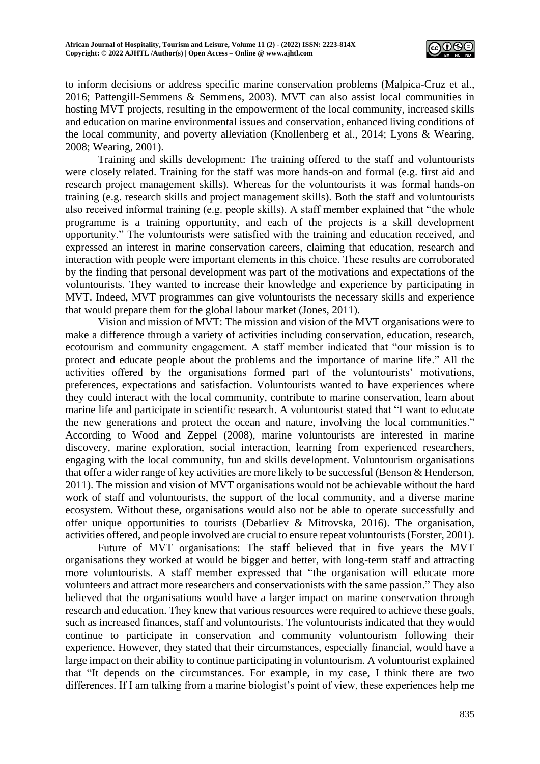

to inform decisions or address specific marine conservation problems (Malpica-Cruz et al., 2016; Pattengill-Semmens & Semmens, 2003). MVT can also assist local communities in hosting MVT projects, resulting in the empowerment of the local community, increased skills and education on marine environmental issues and conservation, enhanced living conditions of the local community, and poverty alleviation (Knollenberg et al., 2014; Lyons & Wearing, 2008; Wearing, 2001).

Training and skills development: The training offered to the staff and voluntourists were closely related. Training for the staff was more hands-on and formal (e.g. first aid and research project management skills). Whereas for the voluntourists it was formal hands-on training (e.g. research skills and project management skills). Both the staff and voluntourists also received informal training (e.g. people skills). A staff member explained that "the whole programme is a training opportunity, and each of the projects is a skill development opportunity." The voluntourists were satisfied with the training and education received, and expressed an interest in marine conservation careers, claiming that education, research and interaction with people were important elements in this choice. These results are corroborated by the finding that personal development was part of the motivations and expectations of the voluntourists. They wanted to increase their knowledge and experience by participating in MVT. Indeed, MVT programmes can give voluntourists the necessary skills and experience that would prepare them for the global labour market (Jones, 2011).

Vision and mission of MVT: The mission and vision of the MVT organisations were to make a difference through a variety of activities including conservation, education, research, ecotourism and community engagement. A staff member indicated that "our mission is to protect and educate people about the problems and the importance of marine life." All the activities offered by the organisations formed part of the voluntourists' motivations, preferences, expectations and satisfaction. Voluntourists wanted to have experiences where they could interact with the local community, contribute to marine conservation, learn about marine life and participate in scientific research. A voluntourist stated that "I want to educate the new generations and protect the ocean and nature, involving the local communities." According to Wood and Zeppel (2008), marine voluntourists are interested in marine discovery, marine exploration, social interaction, learning from experienced researchers, engaging with the local community, fun and skills development. Voluntourism organisations that offer a wider range of key activities are more likely to be successful (Benson & Henderson, 2011). The mission and vision of MVT organisations would not be achievable without the hard work of staff and voluntourists, the support of the local community, and a diverse marine ecosystem. Without these, organisations would also not be able to operate successfully and offer unique opportunities to tourists (Debarliev & Mitrovska, 2016). The organisation, activities offered, and people involved are crucial to ensure repeat voluntourists (Forster, 2001).

Future of MVT organisations: The staff believed that in five years the MVT organisations they worked at would be bigger and better, with long-term staff and attracting more voluntourists. A staff member expressed that "the organisation will educate more volunteers and attract more researchers and conservationists with the same passion." They also believed that the organisations would have a larger impact on marine conservation through research and education. They knew that various resources were required to achieve these goals, such as increased finances, staff and voluntourists. The voluntourists indicated that they would continue to participate in conservation and community voluntourism following their experience. However, they stated that their circumstances, especially financial, would have a large impact on their ability to continue participating in voluntourism. A voluntourist explained that "It depends on the circumstances. For example, in my case, I think there are two differences. If I am talking from a marine biologist's point of view, these experiences help me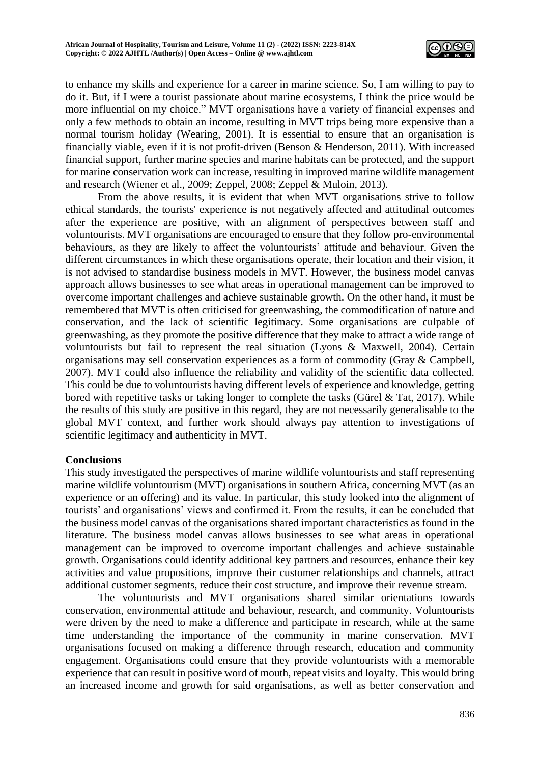

to enhance my skills and experience for a career in marine science. So, I am willing to pay to do it. But, if I were a tourist passionate about marine ecosystems, I think the price would be more influential on my choice." MVT organisations have a variety of financial expenses and only a few methods to obtain an income, resulting in MVT trips being more expensive than a normal tourism holiday (Wearing, 2001). It is essential to ensure that an organisation is financially viable, even if it is not profit-driven (Benson & Henderson, 2011). With increased financial support, further marine species and marine habitats can be protected, and the support for marine conservation work can increase, resulting in improved marine wildlife management and research (Wiener et al., 2009; Zeppel, 2008; Zeppel & Muloin, 2013).

From the above results, it is evident that when MVT organisations strive to follow ethical standards, the tourists' experience is not negatively affected and attitudinal outcomes after the experience are positive, with an alignment of perspectives between staff and voluntourists. MVT organisations are encouraged to ensure that they follow pro-environmental behaviours, as they are likely to affect the voluntourists' attitude and behaviour. Given the different circumstances in which these organisations operate, their location and their vision, it is not advised to standardise business models in MVT. However, the business model canvas approach allows businesses to see what areas in operational management can be improved to overcome important challenges and achieve sustainable growth. On the other hand, it must be remembered that MVT is often criticised for greenwashing, the commodification of nature and conservation, and the lack of scientific legitimacy. Some organisations are culpable of greenwashing, as they promote the positive difference that they make to attract a wide range of voluntourists but fail to represent the real situation (Lyons & Maxwell, 2004). Certain organisations may sell conservation experiences as a form of commodity (Gray & Campbell, 2007). MVT could also influence the reliability and validity of the scientific data collected. This could be due to voluntourists having different levels of experience and knowledge, getting bored with repetitive tasks or taking longer to complete the tasks (Gürel & Tat, 2017). While the results of this study are positive in this regard, they are not necessarily generalisable to the global MVT context, and further work should always pay attention to investigations of scientific legitimacy and authenticity in MVT.

## **Conclusions**

This study investigated the perspectives of marine wildlife voluntourists and staff representing marine wildlife voluntourism (MVT) organisations in southern Africa, concerning MVT (as an experience or an offering) and its value. In particular, this study looked into the alignment of tourists' and organisations' views and confirmed it. From the results, it can be concluded that the business model canvas of the organisations shared important characteristics as found in the literature. The business model canvas allows businesses to see what areas in operational management can be improved to overcome important challenges and achieve sustainable growth. Organisations could identify additional key partners and resources, enhance their key activities and value propositions, improve their customer relationships and channels, attract additional customer segments, reduce their cost structure, and improve their revenue stream.

The voluntourists and MVT organisations shared similar orientations towards conservation, environmental attitude and behaviour, research, and community. Voluntourists were driven by the need to make a difference and participate in research, while at the same time understanding the importance of the community in marine conservation. MVT organisations focused on making a difference through research, education and community engagement. Organisations could ensure that they provide voluntourists with a memorable experience that can result in positive word of mouth, repeat visits and loyalty. This would bring an increased income and growth for said organisations, as well as better conservation and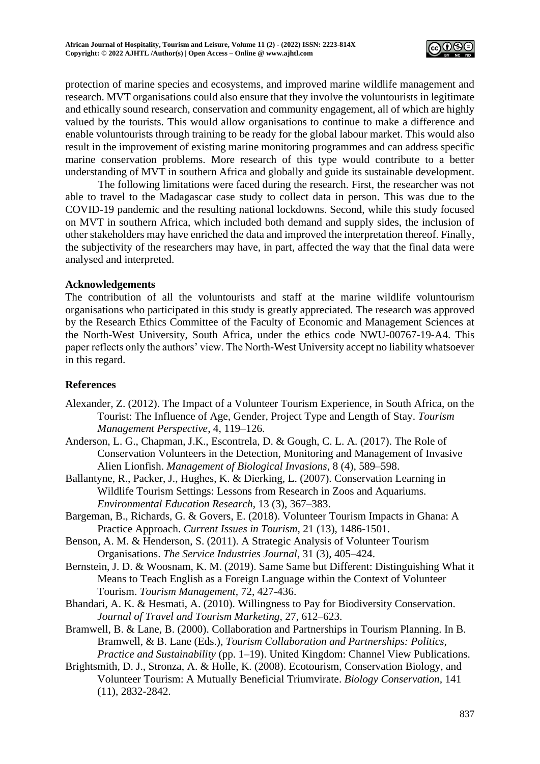

protection of marine species and ecosystems, and improved marine wildlife management and research. MVT organisations could also ensure that they involve the voluntourists in legitimate and ethically sound research, conservation and community engagement, all of which are highly valued by the tourists. This would allow organisations to continue to make a difference and enable voluntourists through training to be ready for the global labour market. This would also result in the improvement of existing marine monitoring programmes and can address specific marine conservation problems. More research of this type would contribute to a better understanding of MVT in southern Africa and globally and guide its sustainable development.

The following limitations were faced during the research. First, the researcher was not able to travel to the Madagascar case study to collect data in person. This was due to the COVID-19 pandemic and the resulting national lockdowns. Second, while this study focused on MVT in southern Africa, which included both demand and supply sides, the inclusion of other stakeholders may have enriched the data and improved the interpretation thereof. Finally, the subjectivity of the researchers may have, in part, affected the way that the final data were analysed and interpreted.

### **Acknowledgements**

The contribution of all the voluntourists and staff at the marine wildlife voluntourism organisations who participated in this study is greatly appreciated. The research was approved by the Research Ethics Committee of the Faculty of Economic and Management Sciences at the North-West University, South Africa, under the ethics code NWU-00767-19-A4. This paper reflects only the authors' view. The North-West University accept no liability whatsoever in this regard.

#### **References**

- Alexander, Z. (2012). The Impact of a Volunteer Tourism Experience, in South Africa, on the Tourist: The Influence of Age, Gender, Project Type and Length of Stay. *Tourism Management Perspective*, 4, 119–126.
- Anderson, L. G., Chapman, J.K., Escontrela, D. & Gough, C. L. A. (2017). The Role of Conservation Volunteers in the Detection, Monitoring and Management of Invasive Alien Lionfish. *Management of Biological Invasions*, 8 (4), 589–598.
- Ballantyne, R., Packer, J., Hughes, K. & Dierking, L. (2007). Conservation Learning in Wildlife Tourism Settings: Lessons from Research in Zoos and Aquariums. *Environmental Education Research*, 13 (3), 367–383.
- Bargeman, B., Richards, G. & Govers, E. (2018). Volunteer Tourism Impacts in Ghana: A Practice Approach. *Current Issues in Tourism,* 21 (13), 1486-1501.
- Benson, A. M. & Henderson, S. (2011). A Strategic Analysis of Volunteer Tourism Organisations. *The Service Industries Journal*, 31 (3), 405–424.
- Bernstein, J. D. & Woosnam, K. M. (2019). Same Same but Different: Distinguishing What it Means to Teach English as a Foreign Language within the Context of Volunteer Tourism. *Tourism Management,* 72, 427-436.
- Bhandari, A. K. & Hesmati, A. (2010). Willingness to Pay for Biodiversity Conservation. *Journal of Travel and Tourism Marketing*, 27, 612–623.
- Bramwell, B. & Lane, B. (2000). Collaboration and Partnerships in Tourism Planning. In B. Bramwell, & B. Lane (Eds.), *Tourism Collaboration and Partnerships: Politics, Practice and Sustainability* (pp. 1–19). United Kingdom: Channel View Publications.
- Brightsmith, D. J., Stronza, A. & Holle, K. (2008). Ecotourism, Conservation Biology, and Volunteer Tourism: A Mutually Beneficial Triumvirate. *Biology Conservation,* 141 (11), 2832-2842.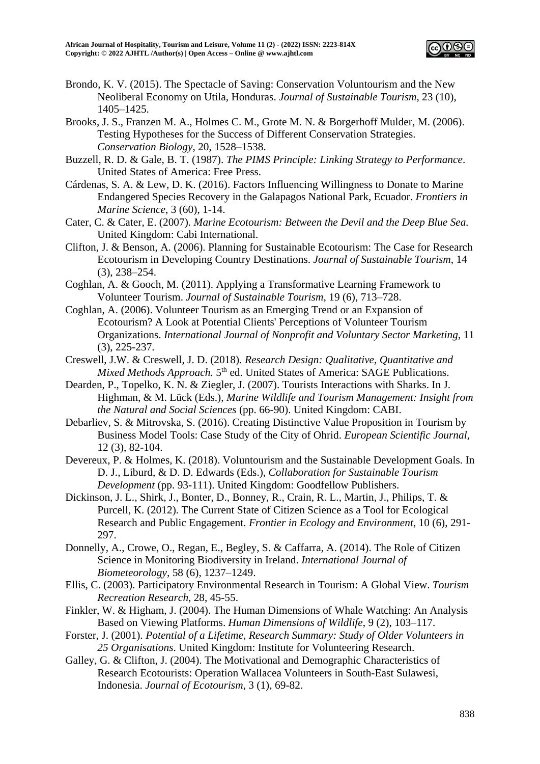

- Brondo, K. V. (2015). The Spectacle of Saving: Conservation Voluntourism and the New Neoliberal Economy on Utila, Honduras. *Journal of Sustainable Tourism*, 23 (10), 1405–1425.
- Brooks, J. S., Franzen M. A., Holmes C. M., Grote M. N. & Borgerhoff Mulder, M. (2006). Testing Hypotheses for the Success of Different Conservation Strategies. *Conservation Biology*, 20, 1528–1538.
- Buzzell, R. D. & Gale, B. T. (1987). *The PIMS Principle: Linking Strategy to Performance*. United States of America: Free Press.
- Cárdenas, S. A. & Lew, D. K. (2016). Factors Influencing Willingness to Donate to Marine Endangered Species Recovery in the Galapagos National Park, Ecuador. *Frontiers in Marine Science*, 3 (60), 1-14.
- Cater, C. & Cater, E. (2007). *Marine Ecotourism: Between the Devil and the Deep Blue Sea.* United Kingdom: Cabi International.
- Clifton, J. & Benson, A. (2006). Planning for Sustainable Ecotourism: The Case for Research Ecotourism in Developing Country Destinations. *Journal of Sustainable Tourism*, 14 (3), 238–254.
- Coghlan, A. & Gooch, M. (2011). Applying a Transformative Learning Framework to Volunteer Tourism. *Journal of Sustainable Tourism*, 19 (6), 713–728.
- Coghlan, A. (2006). Volunteer Tourism as an Emerging Trend or an Expansion of Ecotourism? A Look at Potential Clients' Perceptions of Volunteer Tourism Organizations. *International Journal of Nonprofit and Voluntary Sector Marketing*, 11 (3), 225-237.
- Creswell, J.W. & Creswell, J. D. (2018). *Research Design: Qualitative, Quantitative and*  Mixed Methods Approach. 5<sup>th</sup> ed. United States of America: SAGE Publications.
- Dearden, P., Topelko, K. N. & Ziegler, J. (2007). Tourists Interactions with Sharks. In J. Highman, & M. Lück (Eds.), *Marine Wildlife and Tourism Management: Insight from the Natural and Social Sciences* (pp. 66-90). United Kingdom: CABI.
- Debarliev, S. & Mitrovska, S. (2016). Creating Distinctive Value Proposition in Tourism by Business Model Tools: Case Study of the City of Ohrid. *European Scientific Journal,* 12 (3), 82-104.
- Devereux, P. & Holmes, K. (2018). Voluntourism and the Sustainable Development Goals. In D. J., Liburd, & D. D. Edwards (Eds.), *Collaboration for Sustainable Tourism Development* (pp. 93-111). United Kingdom: Goodfellow Publishers.
- Dickinson, J. L., Shirk, J., Bonter, D., Bonney, R., Crain, R. L., Martin, J., Philips, T. & Purcell, K. (2012). The Current State of Citizen Science as a Tool for Ecological Research and Public Engagement. *Frontier in Ecology and Environment*, 10 (6), 291- 297.
- Donnelly, A., Crowe, O., Regan, E., Begley, S. & Caffarra, A. (2014). The Role of Citizen Science in Monitoring Biodiversity in Ireland. *International Journal of Biometeorology,* 58 (6), 1237–1249.
- Ellis, C. (2003). Participatory Environmental Research in Tourism: A Global View. *Tourism Recreation Research*, 28, 45-55.
- Finkler, W. & Higham, J. (2004). The Human Dimensions of Whale Watching: An Analysis Based on Viewing Platforms. *Human Dimensions of Wildlife*, 9 (2), 103–117.
- Forster, J. (2001). *Potential of a Lifetime, Research Summary: Study of Older Volunteers in 25 Organisations*. United Kingdom: Institute for Volunteering Research.
- Galley, G. & Clifton, J. (2004). The Motivational and Demographic Characteristics of Research Ecotourists: Operation Wallacea Volunteers in South-East Sulawesi, Indonesia. *Journal of Ecotourism*, 3 (1), 69-82.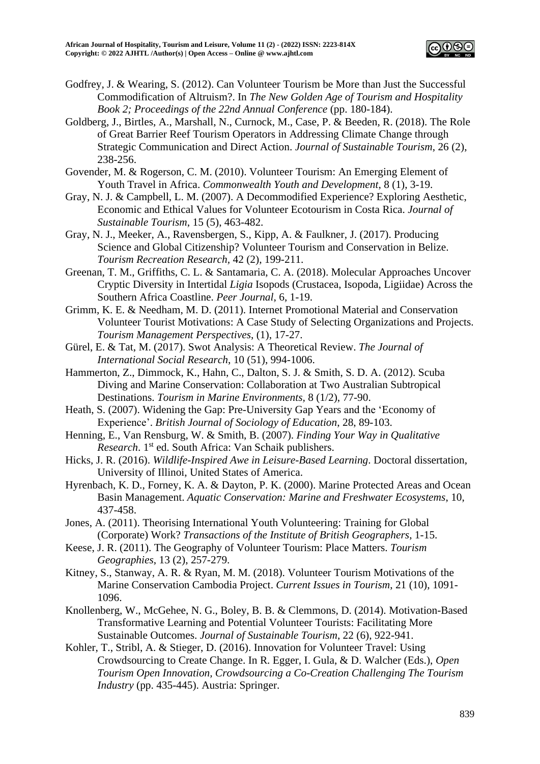

- Godfrey, J. & Wearing, S. (2012). Can Volunteer Tourism be More than Just the Successful Commodification of Altruism?. In *The New Golden Age of Tourism and Hospitality Book 2; Proceedings of the 22nd Annual Conference* (pp. 180-184).
- Goldberg, J., Birtles, A., Marshall, N., Curnock, M., Case, P. & Beeden, R. (2018). The Role of Great Barrier Reef Tourism Operators in Addressing Climate Change through Strategic Communication and Direct Action. *Journal of Sustainable Tourism*, 26 (2), 238-256.
- Govender, M. & Rogerson, C. M. (2010). Volunteer Tourism: An Emerging Element of Youth Travel in Africa. *Commonwealth Youth and Development*, 8 (1), 3-19.
- Gray, N. J. & Campbell, L. M. (2007). A Decommodified Experience? Exploring Aesthetic, Economic and Ethical Values for Volunteer Ecotourism in Costa Rica. *Journal of Sustainable Tourism*, 15 (5), 463-482.
- Gray, N. J., Meeker, A., Ravensbergen, S., Kipp, A. & Faulkner, J. (2017). Producing Science and Global Citizenship? Volunteer Tourism and Conservation in Belize. *Tourism Recreation Research,* 42 (2), 199-211.
- Greenan, T. M., Griffiths, C. L. & Santamaria, C. A. (2018). Molecular Approaches Uncover Cryptic Diversity in Intertidal *Ligia* Isopods (Crustacea, Isopoda, Ligiidae) Across the Southern Africa Coastline. *Peer Journal*, 6, 1-19.
- Grimm, K. E. & Needham, M. D. (2011). Internet Promotional Material and Conservation Volunteer Tourist Motivations: A Case Study of Selecting Organizations and Projects. *Tourism Management Perspectives*, (1), 17-27.
- Gürel, E. & Tat, M. (2017). Swot Analysis: A Theoretical Review. *The Journal of International Social Research*, 10 (51), 994-1006.
- Hammerton, Z., Dimmock, K., Hahn, C., Dalton, S. J. & Smith, S. D. A. (2012). Scuba Diving and Marine Conservation: Collaboration at Two Australian Subtropical Destinations. *Tourism in Marine Environments,* 8 (1/2), 77-90.
- Heath, S. (2007). Widening the Gap: Pre-University Gap Years and the 'Economy of Experience'. *British Journal of Sociology of Education*, 28, 89-103.
- Henning, E., Van Rensburg, W. & Smith, B. (2007). *Finding Your Way in Qualitative Research*. 1st ed. South Africa: Van Schaik publishers.
- Hicks, J. R. (2016). *Wildlife-Inspired Awe in Leisure-Based Learning*. Doctoral dissertation, University of Illinoi, United States of America.
- Hyrenbach, K. D., Forney, K. A. & Dayton, P. K. (2000). Marine Protected Areas and Ocean Basin Management. *Aquatic Conservation: Marine and Freshwater Ecosystems*, 10, 437-458.
- Jones, A. (2011). Theorising International Youth Volunteering: Training for Global (Corporate) Work? *Transactions of the Institute of British Geographers*, 1-15.
- Keese, J. R. (2011). The Geography of Volunteer Tourism: Place Matters. *Tourism Geographies*, 13 (2), 257-279.
- Kitney, S., Stanway, A. R. & Ryan, M. M. (2018). Volunteer Tourism Motivations of the Marine Conservation Cambodia Project. *Current Issues in Tourism*, 21 (10), 1091- 1096.
- Knollenberg, W., McGehee, N. G., Boley, B. B. & Clemmons, D. (2014). Motivation-Based Transformative Learning and Potential Volunteer Tourists: Facilitating More Sustainable Outcomes. *Journal of Sustainable Tourism*, 22 (6), 922-941.
- Kohler, T., Stribl, A. & Stieger, D. (2016). Innovation for Volunteer Travel: Using Crowdsourcing to Create Change. In R. Egger, I. Gula, & D. Walcher (Eds.), *Open Tourism Open Innovation, Crowdsourcing a Co-Creation Challenging The Tourism Industry* (pp. 435-445). Austria: Springer.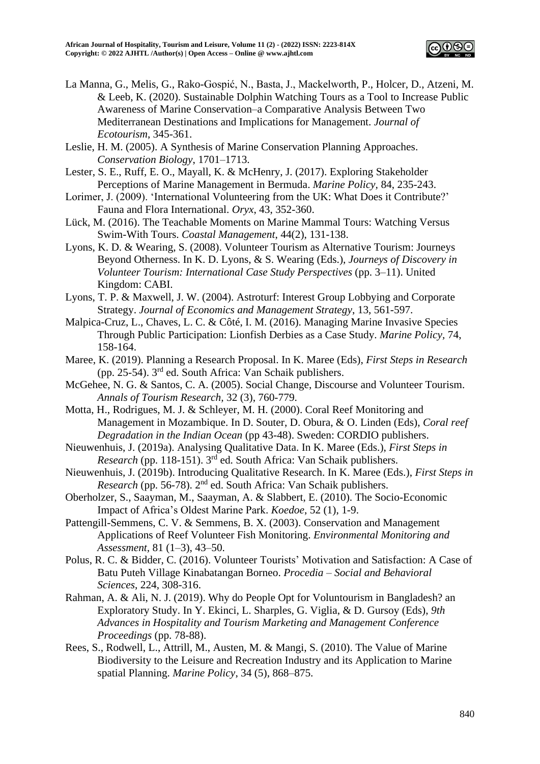

- La Manna, G., Melis, G., Rako-Gospić, N., Basta, J., Mackelworth, P., Holcer, D., Atzeni, M. & Leeb, K. (2020). Sustainable Dolphin Watching Tours as a Tool to Increase Public Awareness of Marine Conservation–a Comparative Analysis Between Two Mediterranean Destinations and Implications for Management. *Journal of Ecotourism*, 345-361.
- Leslie, H. M. (2005). A Synthesis of Marine Conservation Planning Approaches. *Conservation Biology*, 1701–1713.
- Lester, S. E., Ruff, E. O., Mayall, K. & McHenry, J. (2017). Exploring Stakeholder Perceptions of Marine Management in Bermuda. *Marine Policy,* 84, 235-243.
- Lorimer, J. (2009). 'International Volunteering from the UK: What Does it Contribute?' Fauna and Flora International. *Oryx*, 43, 352-360.
- Lück, M. (2016). The Teachable Moments on Marine Mammal Tours: Watching Versus Swim-With Tours. *Coastal Management*, 44(2), 131-138.
- Lyons, K. D. & Wearing, S. (2008). Volunteer Tourism as Alternative Tourism: Journeys Beyond Otherness. In K. D. Lyons, & S. Wearing (Eds.), *Journeys of Discovery in Volunteer Tourism: International Case Study Perspectives* (pp. 3–11). United Kingdom: CABI.
- Lyons, T. P. & Maxwell, J. W. (2004). Astroturf: Interest Group Lobbying and Corporate Strategy. *Journal of Economics and Management Strategy*, 13, 561-597.
- Malpica-Cruz, L., Chaves, L. C. & Côté, I. M. (2016). Managing Marine Invasive Species Through Public Participation: Lionfish Derbies as a Case Study. *Marine Policy,* 74, 158-164.
- Maree, K. (2019). Planning a Research Proposal. In K. Maree (Eds), *First Steps in Research* (pp. 25-54). 3rd ed. South Africa: Van Schaik publishers.
- McGehee, N. G. & Santos, C. A. (2005). Social Change, Discourse and Volunteer Tourism. *Annals of Tourism Research,* 32 (3), 760-779.
- Motta, H., Rodrigues, M. J. & Schleyer, M. H. (2000). Coral Reef Monitoring and Management in Mozambique. In D. Souter, D. Obura, & O. Linden (Eds), *Coral reef Degradation in the Indian Ocean* (pp 43-48). Sweden: CORDIO publishers.
- Nieuwenhuis, J. (2019a). Analysing Qualitative Data. In K. Maree (Eds.), *First Steps in Research* (pp. 118-151). 3rd ed. South Africa: Van Schaik publishers.
- Nieuwenhuis, J. (2019b). Introducing Qualitative Research. In K. Maree (Eds.), *First Steps in Research* (pp. 56-78). 2nd ed. South Africa: Van Schaik publishers.
- Oberholzer, S., Saayman, M., Saayman, A. & Slabbert, E. (2010). The Socio-Economic Impact of Africa's Oldest Marine Park. *Koedoe*, 52 (1), 1-9.
- Pattengill-Semmens, C. V. & Semmens, B. X. (2003). Conservation and Management Applications of Reef Volunteer Fish Monitoring. *Environmental Monitoring and Assessment,* 81 (1–3), 43–50.
- Polus, R. C. & Bidder, C. (2016). Volunteer Tourists' Motivation and Satisfaction: A Case of Batu Puteh Village Kinabatangan Borneo. *Procedia – Social and Behavioral Sciences*, 224, 308-316.
- Rahman, A. & Ali, N. J. (2019). Why do People Opt for Voluntourism in Bangladesh? an Exploratory Study. In Y. Ekinci, L. Sharples, G. Viglia, & D. Gursoy (Eds), *9th Advances in Hospitality and Tourism Marketing and Management Conference Proceedings* (pp. 78-88).
- Rees, S., Rodwell, L., Attrill, M., Austen, M. & Mangi, S. (2010). The Value of Marine Biodiversity to the Leisure and Recreation Industry and its Application to Marine spatial Planning. *Marine Policy*, 34 (5), 868–875.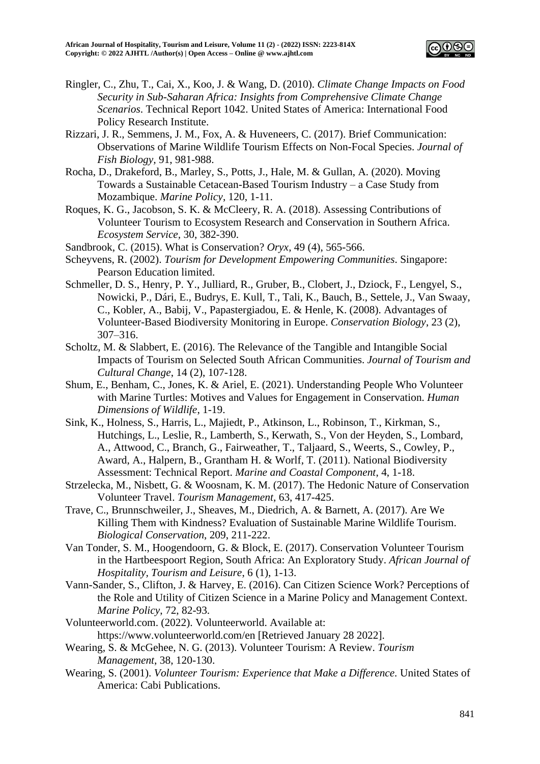

- Ringler, C., Zhu, T., Cai, X., Koo, J. & Wang, D. (2010). *Climate Change Impacts on Food Security in Sub-Saharan Africa: Insights from Comprehensive Climate Change Scenarios*. Technical Report 1042. United States of America: International Food Policy Research Institute.
- Rizzari, J. R., Semmens, J. M., Fox, A. & Huveneers, C. (2017). Brief Communication: Observations of Marine Wildlife Tourism Effects on Non-Focal Species. *Journal of Fish Biology,* 91, 981-988.
- Rocha, D., Drakeford, B., Marley, S., Potts, J., Hale, M. & Gullan, A. (2020). Moving Towards a Sustainable Cetacean-Based Tourism Industry – a Case Study from Mozambique. *Marine Policy*, 120, 1-11.
- Roques, K. G., Jacobson, S. K. & McCleery, R. A. (2018). Assessing Contributions of Volunteer Tourism to Ecosystem Research and Conservation in Southern Africa. *Ecosystem Service,* 30, 382-390.
- Sandbrook, C. (2015). What is Conservation? *Oryx*, 49 (4), 565-566.
- Scheyvens, R. (2002). *Tourism for Development Empowering Communities*. Singapore: Pearson Education limited.
- Schmeller, D. S., Henry, P. Y., Julliard, R., Gruber, B., Clobert, J., Dziock, F., Lengyel, S., Nowicki, P., Dári, E., Budrys, E. Kull, T., Tali, K., Bauch, B., Settele, J., Van Swaay, C., Kobler, A., Babij, V., Papastergiadou, E. & Henle, K. (2008). Advantages of Volunteer-Based Biodiversity Monitoring in Europe. *Conservation Biology*, 23 (2), 307–316.
- Scholtz, M. & Slabbert, E. (2016). The Relevance of the Tangible and Intangible Social Impacts of Tourism on Selected South African Communities. *Journal of Tourism and Cultural Change*, 14 (2), 107-128.
- Shum, E., Benham, C., Jones, K. & Ariel, E. (2021). Understanding People Who Volunteer with Marine Turtles: Motives and Values for Engagement in Conservation. *Human Dimensions of Wildlife*, 1-19.
- Sink, K., Holness, S., Harris, L., Majiedt, P., Atkinson, L., Robinson, T., Kirkman, S., Hutchings, L., Leslie, R., Lamberth, S., Kerwath, S., Von der Heyden, S., Lombard, A., Attwood, C., Branch, G., Fairweather, T., Taljaard, S., Weerts, S., Cowley, P., Award, A., Halpern, B., Grantham H. & Worlf, T. (2011). National Biodiversity Assessment: Technical Report. *Marine and Coastal Component*, 4, 1-18.
- Strzelecka, M., Nisbett, G. & Woosnam, K. M. (2017). The Hedonic Nature of Conservation Volunteer Travel. *Tourism Management*, 63, 417-425.
- Trave, C., Brunnschweiler, J., Sheaves, M., Diedrich, A. & Barnett, A. (2017). Are We Killing Them with Kindness? Evaluation of Sustainable Marine Wildlife Tourism. *Biological Conservation*, 209, 211-222.
- Van Tonder, S. M., Hoogendoorn, G. & Block, E. (2017). Conservation Volunteer Tourism in the Hartbeespoort Region, South Africa: An Exploratory Study. *African Journal of Hospitality, Tourism and Leisure*, 6 (1), 1-13.
- Vann-Sander, S., Clifton, J. & Harvey, E. (2016). Can Citizen Science Work? Perceptions of the Role and Utility of Citizen Science in a Marine Policy and Management Context. *Marine Policy*, 72, 82-93.
- Volunteerworld.com. (2022). Volunteerworld. Available at: https://www.volunteerworld.com/en [Retrieved January 28 2022].
- Wearing, S. & McGehee, N. G. (2013). Volunteer Tourism: A Review. *Tourism Management*, 38, 120-130.
- Wearing, S. (2001). *Volunteer Tourism: Experience that Make a Difference.* United States of America: Cabi Publications.